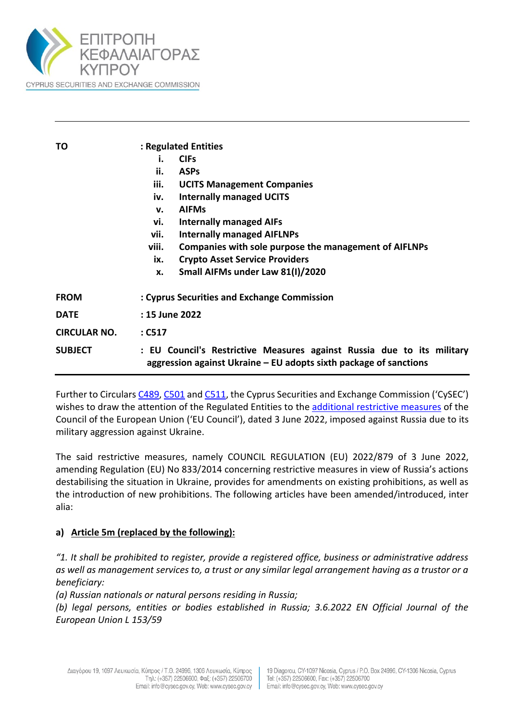

| ΤO                  | : Regulated Entities                                                                                                                        |
|---------------------|---------------------------------------------------------------------------------------------------------------------------------------------|
|                     | <b>CIFs</b><br>i.                                                                                                                           |
|                     | ii.<br><b>ASPs</b>                                                                                                                          |
|                     | iii.<br><b>UCITS Management Companies</b>                                                                                                   |
|                     | <b>Internally managed UCITS</b><br>iv.                                                                                                      |
|                     | <b>AIFMs</b><br>v.                                                                                                                          |
|                     | <b>Internally managed AIFs</b><br>vi.                                                                                                       |
|                     | vii.<br><b>Internally managed AIFLNPs</b>                                                                                                   |
|                     | viii.<br>Companies with sole purpose the management of AIFLNPs                                                                              |
|                     | <b>Crypto Asset Service Providers</b><br>ix.                                                                                                |
|                     | Small AIFMs under Law 81(I)/2020<br>X.                                                                                                      |
| <b>FROM</b>         | : Cyprus Securities and Exchange Commission                                                                                                 |
| <b>DATE</b>         | : 15 June 2022                                                                                                                              |
| <b>CIRCULAR NO.</b> | $:$ C517                                                                                                                                    |
| <b>SUBJECT</b>      | : EU Council's Restrictive Measures against Russia due to its military<br>aggression against Ukraine – EU adopts sixth package of sanctions |

Further to Circular[s C489,](https://www.cysec.gov.cy/CMSPages/GetFile.aspx?guid=ff29bbf3-644b-48d4-9189-04c4779247cc) [C501](https://www.cysec.gov.cy/CMSPages/GetFile.aspx?guid=130f0eeb-bad0-407d-a2eb-cdd6b4897694) and [C511,](https://www.cysec.gov.cy/CMSPages/GetFile.aspx?guid=f56ffd64-cd54-4423-8679-d8b2ea9d7808) the Cyprus Securities and Exchange Commission ('CySEC') wishes to draw the attention of the Regulated Entities to the additional [restrictive measures](https://eur-lex.europa.eu/legal-content/EN/TXT/PDF/?uri=OJ:L:2022:153:FULL&from=EN) of the Council of the European Union ('EU Council'), dated 3 June 2022, imposed against Russia due to its military aggression against Ukraine.

The said restrictive measures, namely COUNCIL REGULATION (EU) 2022/879 of 3 June 2022, amending Regulation (EU) No 833/2014 concerning restrictive measures in view of Russia's actions destabilising the situation in Ukraine, provides for amendments on existing prohibitions, as well as the introduction of new prohibitions. The following articles have been amended/introduced, inter alia:

## **a) Article 5m (replaced by the following):**

*"1. It shall be prohibited to register, provide a registered office, business or administrative address as well as management services to, a trust or any similar legal arrangement having as a trustor or a beneficiary:* 

*(a) Russian nationals or natural persons residing in Russia;* 

*(b) legal persons, entities or bodies established in Russia; 3.6.2022 EN Official Journal of the European Union L 153/59*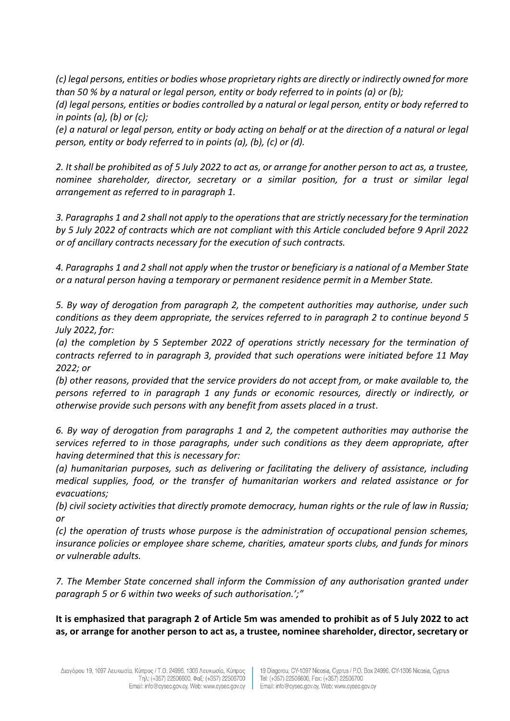*(c) legal persons, entities or bodies whose proprietary rights are directly or indirectly owned for more than 50 % by a natural or legal person, entity or body referred to in points (a) or (b);* 

*(d) legal persons, entities or bodies controlled by a natural or legal person, entity or body referred to in points (a), (b) or (c);* 

*(e) a natural or legal person, entity or body acting on behalf or at the direction of a natural or legal person, entity or body referred to in points (a), (b), (c) or (d).* 

*2. It shall be prohibited as of 5 July 2022 to act as, or arrange for another person to act as, a trustee, nominee shareholder, director, secretary or a similar position, for a trust or similar legal arrangement as referred to in paragraph 1.* 

*3. Paragraphs 1 and 2 shall not apply to the operations that are strictly necessary for the termination by 5 July 2022 of contracts which are not compliant with this Article concluded before 9 April 2022 or of ancillary contracts necessary for the execution of such contracts.* 

*4. Paragraphs 1 and 2 shall not apply when the trustor or beneficiary is a national of a Member State or a natural person having a temporary or permanent residence permit in a Member State.* 

*5. By way of derogation from paragraph 2, the competent authorities may authorise, under such conditions as they deem appropriate, the services referred to in paragraph 2 to continue beyond 5 July 2022, for:* 

*(a) the completion by 5 September 2022 of operations strictly necessary for the termination of contracts referred to in paragraph 3, provided that such operations were initiated before 11 May 2022; or* 

*(b) other reasons, provided that the service providers do not accept from, or make available to, the persons referred to in paragraph 1 any funds or economic resources, directly or indirectly, or otherwise provide such persons with any benefit from assets placed in a trust.*

*6. By way of derogation from paragraphs 1 and 2, the competent authorities may authorise the services referred to in those paragraphs, under such conditions as they deem appropriate, after having determined that this is necessary for:* 

*(a) humanitarian purposes, such as delivering or facilitating the delivery of assistance, including medical supplies, food, or the transfer of humanitarian workers and related assistance or for evacuations;* 

*(b) civil society activities that directly promote democracy, human rights or the rule of law in Russia; or* 

*(c) the operation of trusts whose purpose is the administration of occupational pension schemes, insurance policies or employee share scheme, charities, amateur sports clubs, and funds for minors or vulnerable adults.*

*7. The Member State concerned shall inform the Commission of any authorisation granted under paragraph 5 or 6 within two weeks of such authorisation.';"*

**It is emphasized that paragraph 2 of Article 5m was amended to prohibit as of 5 July 2022 to act as, or arrange for another person to act as, a trustee, nominee shareholder, director, secretary or**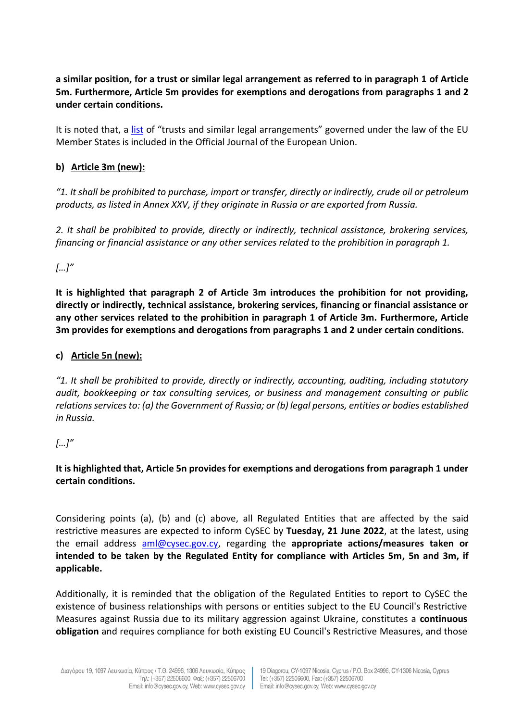**a similar position, for a trust or similar legal arrangement as referred to in paragraph 1 of Article 5m. Furthermore, Article 5m provides for exemptions and derogations from paragraphs 1 and 2 under certain conditions.**

It is noted that, a [list](https://eur-lex.europa.eu/legal-content/EN/TXT/PDF/?uri=CELEX:52019XC1024(01)&qid=1652189972022&from=EN) of "trusts and similar legal arrangements" governed under the law of the EU Member States is included in the Official Journal of the European Union.

## **b) Article 3m (new):**

*"1. It shall be prohibited to purchase, import or transfer, directly or indirectly, crude oil or petroleum products, as listed in Annex XXV, if they originate in Russia or are exported from Russia.* 

*2. It shall be prohibited to provide, directly or indirectly, technical assistance, brokering services, financing or financial assistance or any other services related to the prohibition in paragraph 1.*

*[…]"*

**It is highlighted that paragraph 2 of Article 3m introduces the prohibition for not providing, directly or indirectly, technical assistance, brokering services, financing or financial assistance or any other services related to the prohibition in paragraph 1 of Article 3m. Furthermore, Article 3m provides for exemptions and derogations from paragraphs 1 and 2 under certain conditions.**

## **c) Article 5n (new):**

*"1. It shall be prohibited to provide, directly or indirectly, accounting, auditing, including statutory audit, bookkeeping or tax consulting services, or business and management consulting or public relations services to: (a) the Government of Russia; or (b) legal persons, entities or bodies established in Russia.*

# *[…]"*

## **It is highlighted that, Article 5n provides for exemptions and derogations from paragraph 1 under certain conditions.**

Considering points (a), (b) and (c) above, all Regulated Entities that are affected by the said restrictive measures are expected to inform CySEC by **Tuesday, 21 June 2022**, at the latest, using the email address [aml@cysec.gov.cy,](mailto:aml@cysec.gov.cy) regarding the **appropriate actions/measures taken or intended to be taken by the Regulated Entity for compliance with Articles 5m, 5n and 3m, if applicable.**

Additionally, it is reminded that the obligation of the Regulated Entities to report to CySEC the existence of business relationships with persons or entities subject to the EU Council's Restrictive Measures against Russia due to its military aggression against Ukraine, constitutes a **continuous obligation** and requires compliance for both existing EU Council's Restrictive Measures, and those